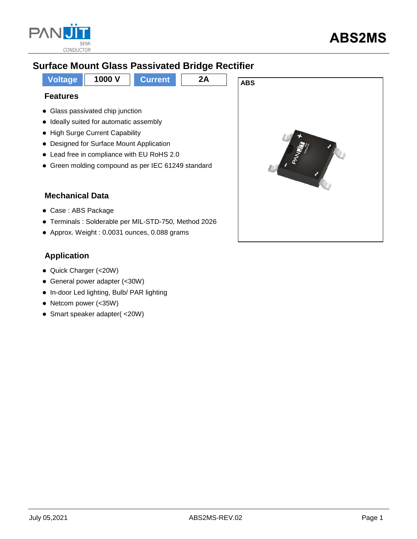

## **Surface Mount Glass Passivated Bridge Rectifier**



Approx. Weight : 0.0031 ounces, 0.088 grams

### **Application**

- Quick Charger (<20W)
- General power adapter (<30W)
- In-door Led lighting, Bulb/ PAR lighting
- Netcom power (<35W)
- Smart speaker adapter( <20W)

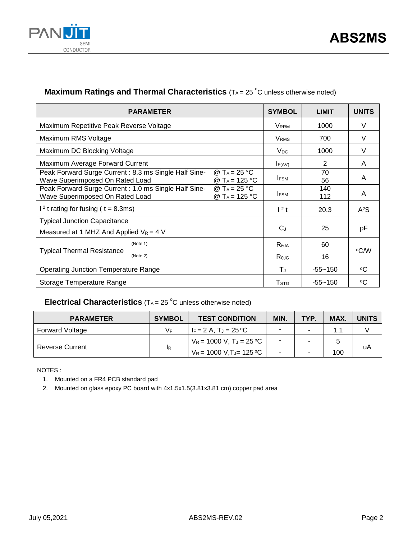

### **Maximum Ratings and Thermal Characteristics** (T<sub>A</sub> = 25 °C unless otherwise noted)

| <b>PARAMETER</b>                                                                        |                                                       |                         | <b>LIMIT</b>     | <b>UNITS</b> |
|-----------------------------------------------------------------------------------------|-------------------------------------------------------|-------------------------|------------------|--------------|
| Maximum Repetitive Peak Reverse Voltage                                                 |                                                       | <b>VRRM</b>             | 1000             | V            |
| Maximum RMS Voltage                                                                     |                                                       | <b>V</b> <sub>RMS</sub> | 700              | $\vee$       |
| Maximum DC Blocking Voltage                                                             |                                                       |                         | 1000             | V            |
| Maximum Average Forward Current                                                         |                                                       | F(AV)                   | 2                | A            |
| Peak Forward Surge Current: 8.3 ms Single Half Sine-<br>Wave Superimposed On Rated Load | @ T <sub>A</sub> = 25 °C<br>@ T <sub>A</sub> = 125 °C | <b>IFSM</b>             | 70<br>56         | A            |
| Peak Forward Surge Current: 1.0 ms Single Half Sine-<br>Wave Superimposed On Rated Load | @ T <sub>A</sub> = 25 °C<br>@ T <sub>A</sub> = 125 °C | <b>IFSM</b>             | 140<br>112       | A            |
| $12$ t rating for fusing ( t = 8.3ms)                                                   | $1^2$ t                                               | 20.3                    | A <sup>2</sup> S |              |
| <b>Typical Junction Capacitance</b><br>Measured at 1 MHZ And Applied $V_R = 4$ V        |                                                       | $C_{J}$                 | 25               | pF           |
| (Note 1)<br><b>Typical Thermal Resistance</b><br>(Note 2)                               |                                                       |                         | 60<br>16         | °C⁄W         |
| <b>Operating Junction Temperature Range</b>                                             |                                                       | ΤJ                      | $-55 - 150$      | °C           |
| Storage Temperature Range                                                               |                                                       | T <sub>STG</sub>        | $-55 - 150$      | ∘C           |

### **Electrical Characteristics**  $(T_A = 25 \degree C$  unless otherwise noted)

| <b>PARAMETER</b>       | <b>SYMBOL</b> | <b>TEST CONDITION</b>      | MIN. | TYP. | MAX. | <b>UNITS</b> |  |
|------------------------|---------------|----------------------------|------|------|------|--------------|--|
| Forward Voltage        | V⊧            | l I⊧ = 2 A. T.⊨ = 25 °C.   |      |      |      |              |  |
| <b>Reverse Current</b> | <b>IR</b>     | $V_R = 1000 V, T_J = 25°C$ |      |      |      |              |  |
|                        |               | $V_R$ = 1000 V,TJ= 125 °C  |      |      | 100  | uA           |  |

NOTES :

1. Mounted on a FR4 PCB standard pad

2. Mounted on glass epoxy PC board with 4x1.5x1.5(3.81x3.81 cm) copper pad area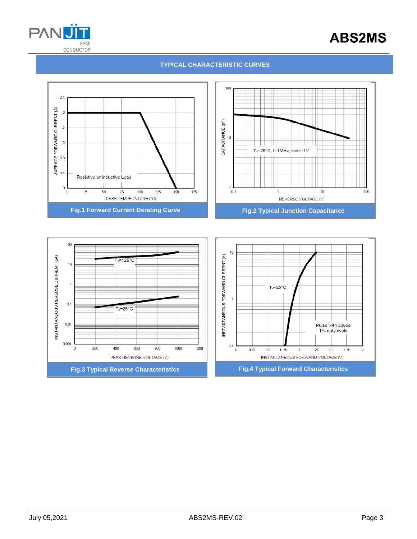

# **ABS2MS**

#### **TYPICAL CHARACTERISTIC CURVES**



**Fig.3 Typical Reverse Characteristics Fig.4 Typical Forward Characteristics**

1200

1000

 $0.1\,$ 

 $\pmb{0}$ 

 $0.25$ 

 $0.5$ 

 $0.75$ 

 $\mathbf{1}$ 

INSTANTANEOUS FORWARD VOLTAGE (V)

 $1.25$ 

 $1.5$ 

 $1.75$ 

 $\overline{2}$ 

 $0.001$ 

 $\bf{0}$ 

200

400

600

PEAK REVERSE VOLTAGE (V)

800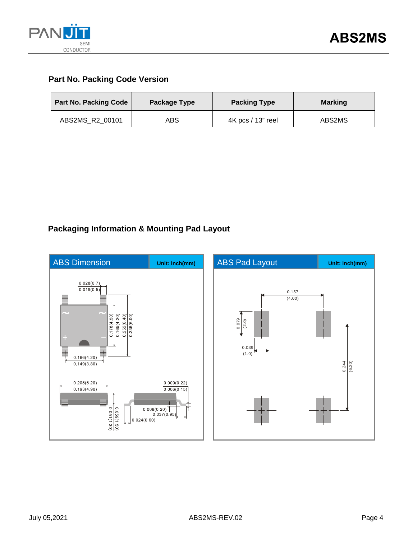

### **Part No. Packing Code Version**

| <b>Part No. Packing Code</b> | Package Type | <b>Packing Type</b> | <b>Marking</b> |  |
|------------------------------|--------------|---------------------|----------------|--|
| ABS2MS R2 00101              | ABS          | 4K pcs / 13" reel   | ABS2MS         |  |

## **Packaging Information & Mounting Pad Layout**